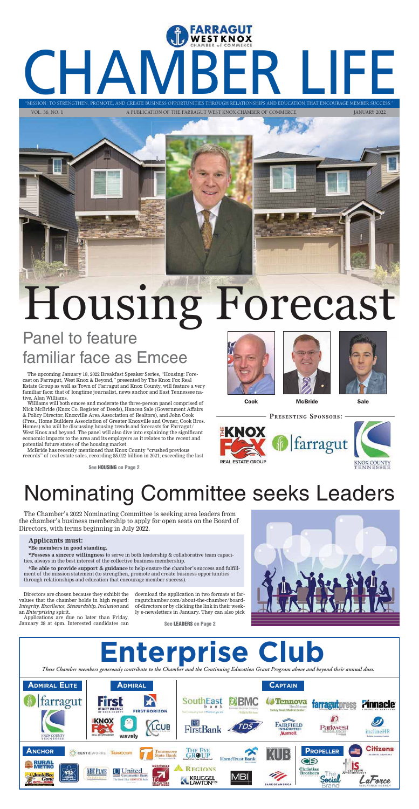CHAMBER LIFE

"MISSION: TO STRENGTHEN, PROMOTE, AND CREATE BUSINESS OPPORTUNITIES THROUGH RELATIONSHIPS AND EDUCATION THAT ENCOURAGE MEMBER SUCCESS."

VOL. 36, NO. 1 A PUBLICATION OF THE FARRAGUT WEST KNOX CHAMBER OF COMMERCE JANUARY 2022

# Panel to feature<br>familiar face as Emcee Panel to feature



The upcoming January 18, 2022 Breakfast Speaker Series, "Housing: Forecast on Farragut, West Knox & Beyond," presented by The Knox Fox Real Estate Group as well as Town of Farragut and Knox County, will feature a very familiar face: that of longtime journalist, news anchor and East Tennessee native, Alan Williams.

Williams will both emcee and moderate the three-person panel comprised of Nick McBride (Knox Co. Register of Deeds), Hancen Sale (Government Affairs & Policy Director, Knoxville Area Association of Realtors), and John Cook (Pres., Home Builders Association of Greater Knoxville and Owner, Cook Bros. Homes) who will be discussing housing trends and forecasts for Farragut/ West Knox and beyond. The panel will also dive into explaining the significant economic impacts to the area and its employers as it relates to the recent and potential future states of the housing market.

McBride has recently mentioned that Knox County "crushed previous records" of real estate sales, recording \$5.022 billion in 2021, exceeding the last







Cook McBride Sale

# Nominating Committee seeks Leaders

The Chamber's 2022 Nominating Committee is seeking area leaders from the chamber's business membership to apply for open seats on the Board of Directors, with terms beginning in July 2022.

#### **Applicants must:**

**\*Be members in good standing.** 

**\*Possess a sincere willingnes**s to serve in both leadership & collaborative team capacities, always in the best interest of the collective business membership.

**\*Be able to provide support & guidance** to help ensure the chamber's success and fulfillment of the mission statement (to strengthen, promote and create business opportunities through relationships and education that encourage member success).











Directors are chosen because they exhibit the values that the chamber holds in high regard: *Integrity, Excellence, Stewardship, Inclusion* and an *Enterprising* spirit.

Applications are due no later than Friday, January 28 at 4pm. Interested candidates can

download the application in two formats at farragutchamber.com/about-the-chamber/boardof-directors or by clicking the link in their weekly e-newsletters in January. They can also pick

**See LEADERS on Page 2**

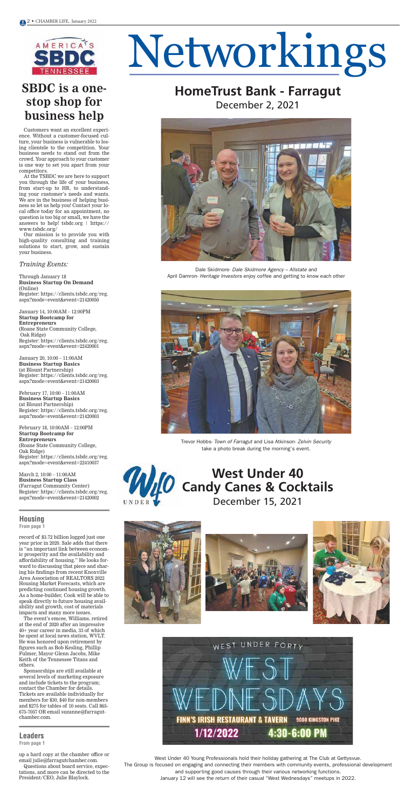

# Networkings

#### **Leaders**

**From page 1**

#### **Housing**

**From page 1**

### **SBDC is a onestop shop for business help**

#### *Training Events:*

Through January 18 **Business Startup On Demand** (Online) Register: https://clients.tsbdc.org/reg. aspx?mode=event&event=21420050

January 14, 10:00AM – 12:00PM **Startup Bootcamp for Entrepreneurs**  (Roane State Community College, Oak Ridge) Register: https://clients.tsbdc.org/reg. aspx?mode=event&event=22420001

January 20, 10:00 – 11:00AM **Business Startup Basics** (at Blount Partnership) Register: https://clients.tsbdc.org/reg. aspx?mode=event&event=21420003

February 17, 10:00 – 11:00AM **Business Startup Basics**  (at Blount Partnership) Register: https://clients.tsbdc.org/reg. aspx?mode=event&event=21420003

February 18, 10:00AM – 12:00PM **Startup Bootcamp for Entrepreneurs**  (Roane State Community College, Oak Ridge) Register: https://clients.tsbdc.org/reg. aspx?mode=event&event=22410037

March 2, 10:00 – 11:00AM



**Business Startup Class** (Farragut Community Center) Register: https://clients.tsbdc.org/reg. aspx?mode=event&event=21420002

Customers want an excellent experience. Without a customer-focused culture, your business is vulnerable to losing clientele to the competition. Your business needs to stand out from the crowd. Your approach to your customer is one way to set you apart from your competitors.

At the TSBDC we are here to support you through the life of your business, from start-up to HR, to understanding your customer's needs and wants. We are in the business of helping business so let us help you! Contact your local office today for an appointment, no question is too big or small, we have the answers to help! tsbdc.org | https:// www.tsbdc.org/

Our mission is to provide you with high-quality consulting and training solutions to start, grow, and sustain your business.

record of \$3.72 billion logged just one year prior in 2020. Sale adds that there is "an important link between economic prosperity and the availability and affordability of housing." He looks forward to discussing that piece and sharing his findings from recent Knoxville Area Association of REALTORS 2022 Housing Market Forecasts, which are predicting continued housing growth. As a home-builder, Cook will be able to speak directly to future housing availability and growth, cost of materials impacts and many more issues.

The event's emcee, Williams, retired at the end of 2020 after an impressive 40+ year career in media, 33 of which he spent at local news station, WVLT. He was honored upon retirement by figures such as Bob Kesling, Phillip Fulmer, Mayor Glenn Jacobs, Mike Keith of the Tennessee Titans and others.

Sponsorships are still available at several levels of marketing exposure and include tickets to the program; contact the Chamber for details. Tickets are available individually for members for \$30, \$40 for non-members and \$275 for tables of 10 seats. Call 865- 675-7057 OR email suzanne@farragutchamber.com.

up a hard copy at the chamber office or email julie@farragutchamber.com.

Questions about board service, expectations, and more can be directed to the President/CEO, Julie Blaylock.









**HomeTrust Bank - Farragut**

December 2, 2021

**FIELD & LA** 







Trevor Hobbs- Town of Farragut and Lisa Atkinson- Zelvin Security take a photo break during the morning's event.

West Under 40 Young Professionals hold their holiday gathering at The Club at Gettysvue. The Group is focused on engaging and connecting their members with community events, professional development and supporting good causes through their various networking functions. January 12 will see the return of their casual "West Wednesdays" meetups in 2022.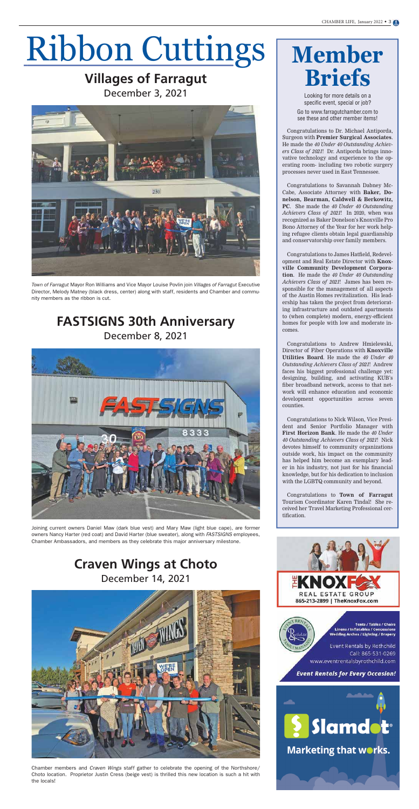#### Villages of Farragut **Villages of Farragut** December 3, 2021



## **FASTSIGNS 30th Anniversary** December 8, 2021



#### **Craven Wings at Choto** December 14, 2021



*Town of Farragut* Mayor Ron Williams and Vice Mayor Louise Povlin join *Villages of Farragut* Executive Director, Melody Matney (black dress, center) along with staff, residents and Chamber and community members as the ribbon is cut.

Joining current owners Daniel Maw (dark blue vest) and Mary Maw (light blue cape), are former owners Nancy Harter (red coat) and David Harter (blue sweater), along with FASTSIGNS employees, Chamber Ambassadors, and members as they celebrate this major anniversary milestone.

Chamber members and Craven Wings staff gather to celebrate the opening of the Northshore/ Choto location. Proprietor Justin Cress (beige vest) is thrilled this new location is such a hit with the locals!

# **Member Briefs**

Looking for more details on a specific event, special or job? Go to www.farragutchamber.com to

see these and other member items!

Congratulations to Dr. Michael Antiporda, Surgeon with **Premier Surgical Associates**. He made the *40 Under 40 Outstanding Achievers Class of 2021*! Dr. Antiporda brings innovative technology and experience to the operating room- including two robotic surgery processes never used in East Tennessee.

Congratulations to Savannah Dabney Mc-Cabe, Associate Attorney with **Baker, Donelson, Bearman, Caldwell & Berkowitz, PC**. She made the *40 Under 40 Outstanding Achievers Class of 2021*! In 2020, when was recognized as Baker Donelson's Knoxville Pro Bono Attorney of the Year for her work helping refugee clients obtain legal guardianship and conservatorship over family members.

Congratulations to James Hatfield, Redevelopment and Real Estate Director with **Knoxville Community Development Corporation**. He made the *40 Under 40 Outstanding Achievers Class of 2021*! James has been responsible for the management of all aspects of the Austin Homes revitalization. His leadership has taken the project from deteriorating infrastructure and outdated apartments to (when complete) modern, energy-efficient homes for people with low and moderate incomes.

Congratulations to Andrew Hmielewski, Director of Fiber Operations with **Knoxville Utilities Board**. He made the *40 Under 40 Outstanding Achievers Class of 2021*! Andrew faces his biggest professional challenge yet: designing, building, and activating KUB's fiber broadband network, access to that network will enhance education and economic development opportunities across seven counties.

Congratulations to Nick Wilson, Vice President and Senior Portfolio Manager with **First Horizon Bank**. He made the *40 Under 40 Outstanding Achievers Class of 2021*! Nick devotes himself to community organizations outside work, his impact on the community has helped him become an exemplary leader in his industry, not just for his financial knowledge, but for his dedication to inclusion with the LGBTQ community and beyond.

Congratulations to **Town of Farragut** Tourism Coordinator Karen Tindal! She received her Travel Marketing Professional certification.





**Tents / Tables / Chairs** Linens / Inflatables / Concessions **Wedding Arches / Lighting / Drapery** 

Event Rentals by Rothchild Call: 865-531-0269 www.eventrentalsbyrothchild.com

**Event Rentals for Every Occasion!**